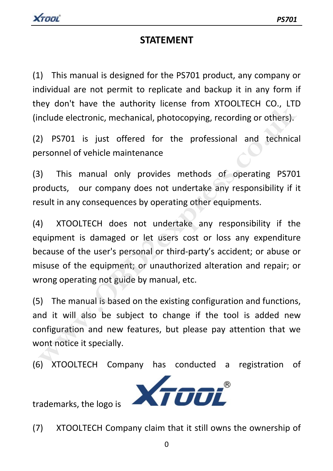# **STATEMENT**

(1) This manual is designed for the PS701 product, any company or individual are not permit to replicate and backup it in any form if they don't have the authority license from XTOOLTECH CO., LTD (include electronic, mechanical, photocopying, recording or others).

(2) PS701 is just offered for the professional and technical personnel of vehicle maintenance

(3) This manual only provides methods of operating PS701 products, our company does not undertake any responsibility if it result in any consequences by operating other equipments.

(4) XTOOLTECH does not undertake any responsibility if the equipment is damaged or let users cost or loss any expenditure because of the user's personal or third‐party's accident; or abuse or misuse of the equipment; or unauthorized alteration and repair; or wrong operating not guide by manual, etc. **Example 18 and 18 and 18 and 18 and 18 and 18 and 18 and 18 and 18 and 18 and 18 and 18 and 18 and 18 and 18 and 18 and 18 and 18 and 18 and 18 and 18 and 18 and 18 and 18 and 18 and 18 and 18 and 18 and 18 and 18 and 18** 

(5) The manual is based on the existing configuration and functions, and it will also be subject to change if the tool is added new configuration and new features, but please pay attention that we wont notice it specially.

(6) XTOOLTECH Company has conducted a registration of



(7) XTOOLTECH Company claim that it still owns the ownership of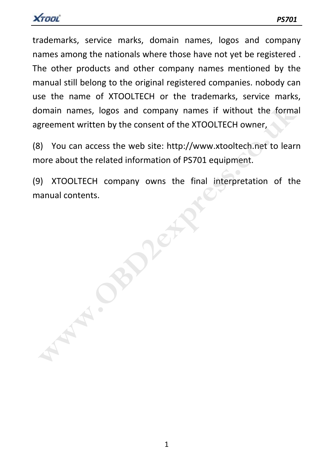

trademarks, service marks, domain names, logos and company names among the nationals where those have not yet be registered . The other products and other company names mentioned by the manual still belong to the original registered companies. nobody can use the name of XTOOLTECH or the trademarks, service marks, domain names, logos and company names if without the formal agreement written by the consent of the XTOOLTECH owner,

(8) You can access the web site: http://www.xtooltech.net to learn more about the related information of PS701 equipment.

(9) XTOOLTECH company owns the final interpretation of the manual contents.

**WAPER**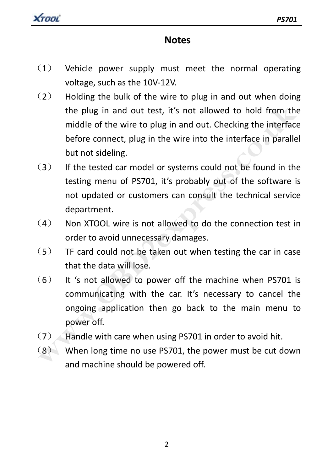

# **Notes**

- (1) Vehicle power supply must meet the normal operating voltage, such as the 10V‐12V.
- $(2)$  Holding the bulk of the wire to plug in and out when doing the plug in and out test, it's not allowed to hold from the middle of the wire to plug in and out. Checking the interface before connect, plug in the wire into the interface in parallel but not sideling. the plug in and out test, it's not allowed to hold from the<br>middle of the wire to plug in and out. Checking the interface<br>before connect, plug in the wire into the interface in parallel<br>but not sideling.<br>(3) If the tested
- (3) If the tested car model or systems could not be found in the testing menu of PS701, it's probably out of the software is not updated or customers can consult the technical service department.
- (4) Non XTOOL wire is not allowed to do the connection test in order to avoid unnecessary damages.
- $(5)$  TF card could not be taken out when testing the car in case that the data will lose.
- (6) It 's not allowed to power off the machine when PS701 is communicating with the car. It's necessary to cancel the ongoing application then go back to the main menu to power off.
- $(7)$  Handle with care when using PS701 in order to avoid hit.
- $(8)$  When long time no use PS701, the power must be cut down and machine should be powered off.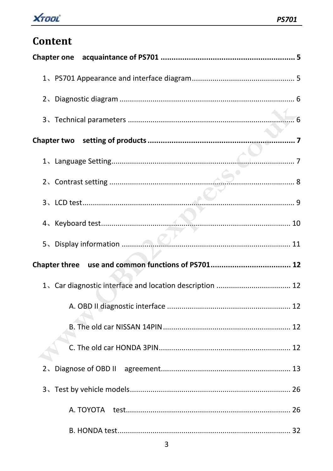

# Content

|                                                         | . 7 |
|---------------------------------------------------------|-----|
|                                                         |     |
|                                                         |     |
|                                                         |     |
|                                                         |     |
|                                                         |     |
|                                                         |     |
| 1、Car diagnostic interface and location description  12 |     |
|                                                         |     |
|                                                         |     |
|                                                         |     |
|                                                         |     |
|                                                         |     |
| Α. ΤΟΥΟΤΑ                                               |     |
|                                                         |     |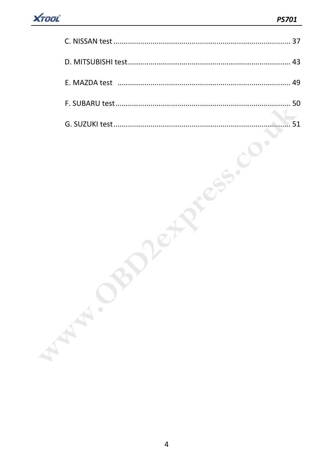|           | 51 |
|-----------|----|
| $\bullet$ |    |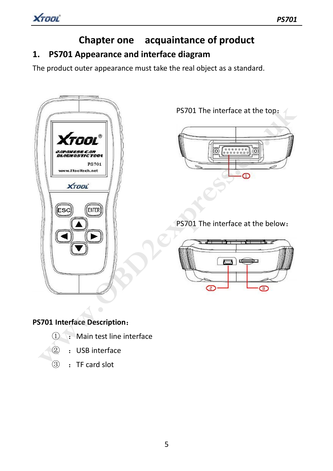# **Chapter one acquaintance of product 1. PS701 Appearance and interface diagram**

The product outer appearance must take the real object as a standard.



PS701 The interface at the top:

# PS701 The interface at the below:



## **PS701 Interface Description**:

- $\Omega$  : Main test line interface
- ② :USB interface
- ③ :TF card slot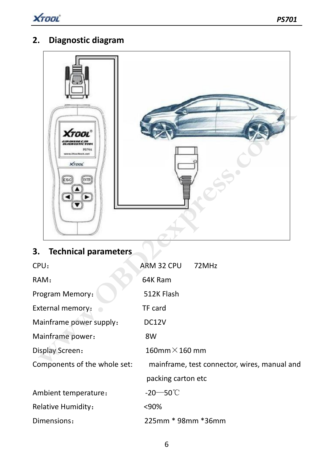

# **2. Diagnostic diagram**



| 3. Technical parameters      |                                              |
|------------------------------|----------------------------------------------|
| CPU:                         | ARM 32 CPU<br>72MHz                          |
| RAM:                         | 64K Ram                                      |
| Program Memory:              | 512K Flash                                   |
| External memory:             | TF card                                      |
| Mainframe power supply:      | DC <sub>12</sub> V                           |
| Mainframe power:             | 8W                                           |
| Display Screen:              | $160$ mm $\times$ 160 mm                     |
| Components of the whole set: | mainframe, test connector, wires, manual and |
|                              | packing carton etc                           |
| Ambient temperature:         | $-20$ – 50 °C                                |
| Relative Humidity:           | <90%                                         |
| Dimensions:                  | 225mm * 98mm *36mm                           |
|                              |                                              |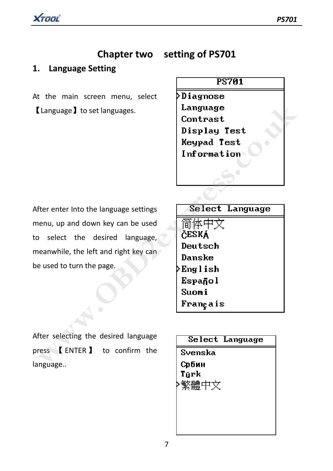XTOOL

# **Chapter two setting of PS701**

### **1. Language Setting**

At the main screen menu, select 【Language】to set languages.

### **PS701**

**>Diagnose** 

After enter Into the language settings menu, up and down key can be used to select the desired language, meanwhile, the left and right key can be used to turn the page.

Examples are the text of the series of the series of the series of the series of the series of the series of the series of the series of the series of the series of the series of the series of the series of the series of

After selecting the desired language press 【 ENTER】 to confirm the language..

Tūrk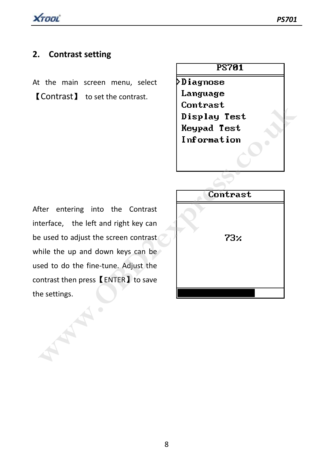### **2. Contrast setting**

At the main screen menu, select 【Contrast】 to set the contrast.

# **PS701**

**>Diagnose** Language

After entering into the Contrast interface, the left and right key can be used to adjust the screen contrast while the up and down keys can be used to do the fine-tune. Adjust the contrast then press【ENTER】to save the settings.

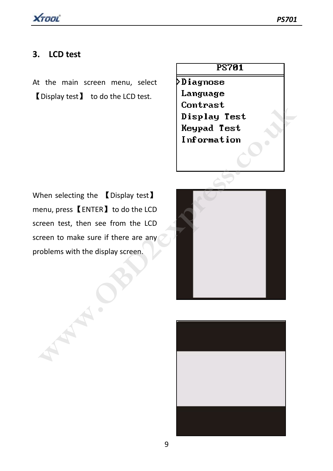## **3. LCD test**

At the main screen menu, select 【Display test】 to do the LCD test.



 $D$ iagnose Language

When selecting the 【Display test】 menu, press【ENTER】to do the LCD screen test, then see from the LCD screen to make sure if there are any problems with the display screen.



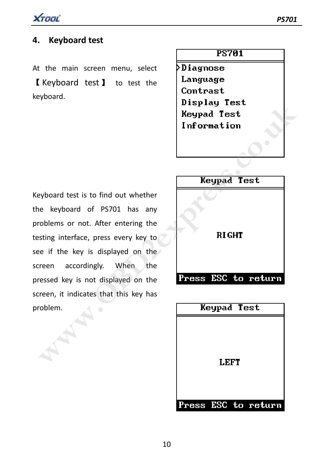

## **4. Keyboard test**

At the main screen menu, select 【 Keyboard test 】 to test the keyboard.

Keyboard test is to find out whether the keyboard of PS701 has any problems or not. After entering the testing interface, press every key to see if the key is displayed on the screen accordingly. When the pressed key is not displayed on the screen, it indicates that this key has problem. **wisping lest**<br> **Weypad Test**<br> **Expadement Expand Test**<br> **Expadement Expand Test**<br> **Expadement Expand Test**<br> **Expadement Expand Test**<br> **Expadement ACCONDING EXPADEMENT AND REFORE EXPADEMENT AND REFORE EXPADEMENT AND REFORM** 

**PS701** 

**>Diagnose** Language Contrast

| Keypad Test |                     |
|-------------|---------------------|
|             |                     |
|             |                     |
|             |                     |
| <b>LEFT</b> |                     |
|             |                     |
|             |                     |
|             | Press ESC to return |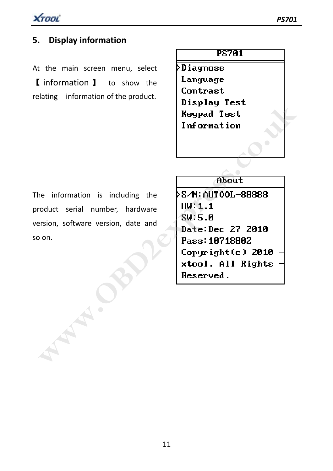

# **5. Display information**

At the main screen menu, select 【 information 】 to show the relating information of the product.

**PS701** 

**>Diagnose** Language Contrast

The information is including the product serial number, hardware version, software version, date and so on.

Wisping lest<br>
Reypad Test<br>
Information<br>
religion, software version, date and<br>
Policy is a set of the contract of the contract of the contract of the contract of the contract of the contract of the contract of the contract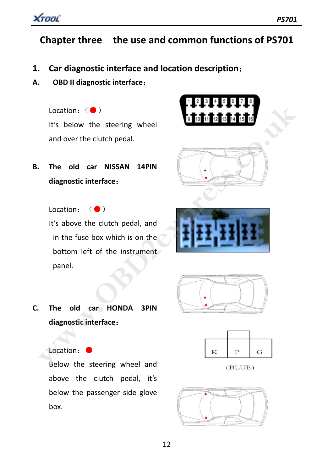

# **Chapter three the use and common functions of PS701**

- **1. Car diagnostic interface and location description**:
- **A. OBD II diagnostic interface**:

Location: (●) It's below the steering wheel and over the clutch pedal.

**B. The old car NISSAN 14PIN diagnostic interface**:

Location: (●)

It's above the clutch pedal, and in the fuse box which is on the bottom left of the instrument panel.









**C. The old car HONDA 3PIN diagnostic interface**:





Location:●

Below the steering wheel and above the clutch pedal, it's below the passenger side glove box.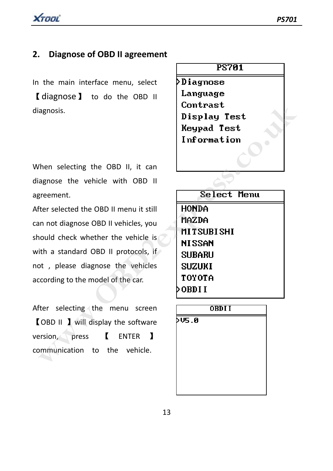XTOOL

## **2. Diagnose of OBD II agreement**

In the main interface menu, select 【diagnose】 to do the OBD II diagnosis.

When selecting the OBD II, it can diagnose the vehicle with OBD II agreement.

After selected the OBD II menu it still can not diagnose OBD II vehicles, you should check whether the vehicle is with a standard OBD II protocols, if not , please diagnose the vehicles according to the model of the car. **Example 12**<br>
Men selecting the OBD II, it can<br>
Men selecting the OBD II, it can<br>
agnose the vehicle with OBD II<br>
merement.<br>
The selected the OBD II menu it still<br>
The selected the OBD II menu it still<br>
an not diagnose OBD

After selecting the menu screen 【OBD II 】will display the software version, press 【 ENTER 】 communication to the vehicle.

### **PS701**

>Diagnose Language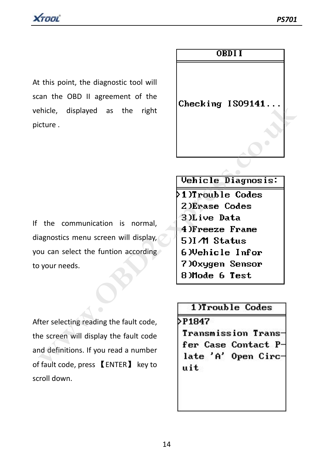At this point, the diagnostic tool will scan the OBD II agreement of the vehicle, displayed as the right picture .

## **ORDII**

If the communication is normal, diagnostics menu screen will display, you can select the funtion according to your needs.

Expressed as the right<br>
Externe.<br>
Externe the communication is normal,<br> **Wehicle Diagnosis:**<br>
2 DErase Codes<br>
2 DErase Codes<br>
2 DErase Codes<br>
2 DErase Codes<br>
2 DErase Codes<br>
2 DErase Codes<br>
2 DERA 4 PETERE PERTERE<br>
2 DERA

After selecting reading the fault code, the screen will display the fault code and definitions. If you read a number of fault code, press 【ENTER】 key to scroll down.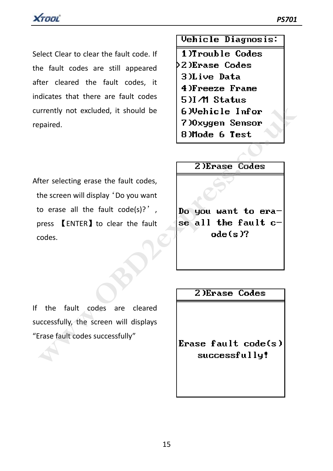Select Clear to clear the fault code. If the fault codes are still appeared after cleared the fault codes, it indicates that there are fault codes currently not excluded, it should be repaired.

After selecting erase the fault codes, the screen will display 'Do you want to erase all the fault  $code(s)?'$ , press 【ENTER】to clear the fault codes. Example the fault codes, where the fault codes were all the fault codes.<br>
We have a line of the codes and the fault code(s)?',<br>
the screen will display 'Do you want<br>
to erase all the fault code(s)?',<br>
Do you want to eraced

Vehicle Diagnosis:

- 1)Trouble Codes  $22$  ) Erase Codes
	- 3)Live Data
	- 4)Freeze Frame
	-
	-
	-
	-

If the fault codes are cleared successfully, the screen will displays "Erase fault codes successfully"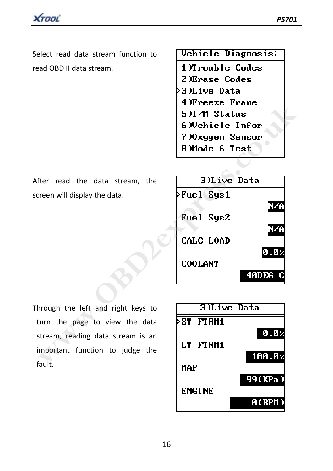XTOOL

Select read data stream function to read OBD II data stream.

After read the data stream, the screen will display the data.

Vehicle Diagnosis:

1)Trouble Codes 2) Erase Codes 3)Live Data



Through the left and right keys to turn the page to view the data stream, reading data stream is an important function to judge the fault.

|               | 3)Live Data |
|---------------|-------------|
| ST<br>FT RM1  |             |
|               | √0.0⊢       |
| LT FTRM1      |             |
| MAP           | $-100.0$    |
|               | 99(KPa)     |
| <b>ENGINE</b> |             |
|               | 0(RPM)      |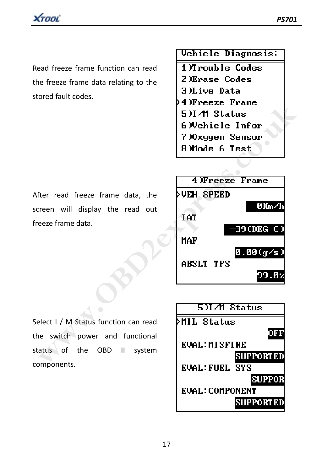

Read freeze frame function can read the freeze frame data relating to the stored fault codes.

Vehicle Diagnosis:

1)Trouble Codes

- 2) Erase Codes
- 3)Live Data
- 
- 
- 
- 
- 

After read freeze frame data, the screen will display the read out freeze frame data.



Select I / M Status function can read the switch power and functional status of the OBD II system components.

| 5)I∧M Status           |
|------------------------|
| ∑MIL Status            |
| OFF                    |
| <b>EVAL: MISFIRE</b>   |
| <b>SUPPORTED</b>       |
| EVAL: FIIEL SYS        |
| <b>SUPPOR</b>          |
| <b>EUAL: COMPONENT</b> |
| <b>SUPPORTED</b>       |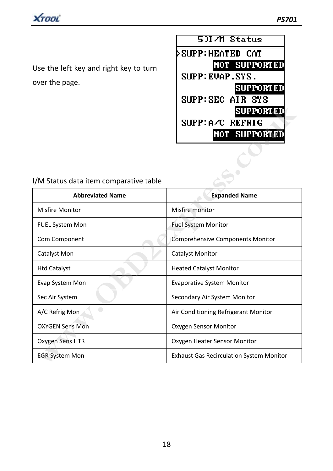

Use the left key and right key to turn over the page.



| I/M Status data item comparative table |  |
|----------------------------------------|--|
|----------------------------------------|--|

| I/M Status data item comparative table | <b>SUPPORTED</b><br>SUPP:A/C REFRIG<br><b>NOT SUPPORTED</b> |
|----------------------------------------|-------------------------------------------------------------|
| <b>Abbreviated Name</b>                | <b>Expanded Name</b>                                        |
| <b>Misfire Monitor</b>                 | Misfire monitor                                             |
| <b>FUEL System Mon</b>                 | <b>Fuel System Monitor</b>                                  |
| Com Component                          | <b>Comprehensive Components Monitor</b>                     |
| Catalyst Mon                           | <b>Catalyst Monitor</b>                                     |
| <b>Htd Catalyst</b>                    | <b>Heated Catalyst Monitor</b>                              |
| Evap System Mon                        | <b>Evaporative System Monitor</b>                           |
| Sec Air System                         | Secondary Air System Monitor                                |
| A/C Refrig Mon                         | Air Conditioning Refrigerant Monitor                        |
| <b>OXYGEN Sens Mon</b>                 | Oxygen Sensor Monitor                                       |
| Oxygen Sens HTR                        | Oxygen Heater Sensor Monitor                                |
| <b>EGR System Mon</b>                  | <b>Exhaust Gas Recirculation System Monitor</b>             |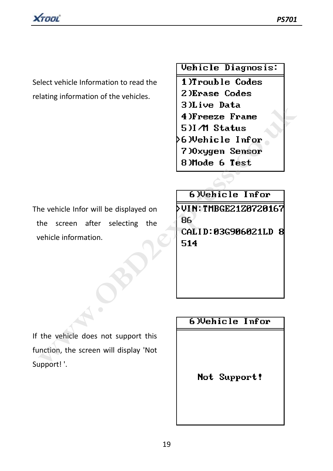

Select vehicle Information to read the relating information of the vehicles.

Vehicle Diagnosis:

1)Trouble Codes 2) Erase Codes **EXECT THE STATE SITE THE STATE SITE STATE SITES THE STATE SITE OF THE STATE STATE STATE STATE STATE STATE STATE STATE STATE STATE STATE STATE STATE STATE STATE STATE STATE PRICE 2128 (SCALL D) SASS 986821LD 8<br>
The vehicle** 

The vehicle Infor will be displayed on the screen after selecting the vehicle information.

If the vehicle does not support this function, the screen will display 'Not Support! '.

Not Support!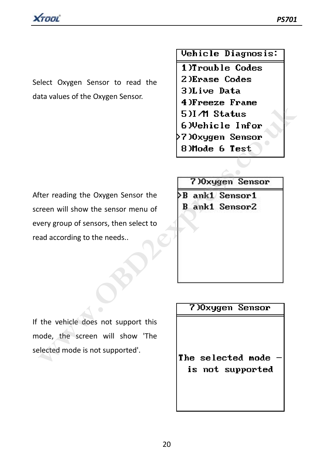

Select Oxygen Sensor to read the data values of the Oxygen Sensor.

Vehicle Diagnosis:

1)Trouble Codes

- 2) Erase Codes
- 3)Live Data
- 
- 
- 
- 
- 

After reading the Oxygen Sensor the screen will show the sensor menu of every group of sensors, then select to read according to the needs.. **EXECT THERE INTO STATE STATES AND STATES THE STATES STATES STATES STATES STATES STATES STATES STATES STATES STATES STATES STATES STATES STATES STATES STATES AND SURFACT DETERMINE STATES AND CONTINUES AND CONTINUES AND CON** 

If the vehicle does not support this mode, the screen will show 'The selected mode is not supported'.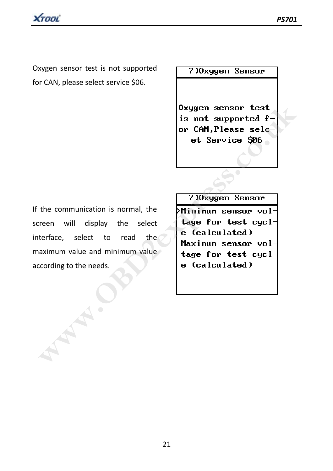Oxygen sensor test is not supported for CAN, please select service \$06.

### 7) Oxygen Sensor

If the communication is normal, the screen will display the select interface, select to read the maximum value and minimum value according to the needs. Examples a control of the communication is normal, the<br>
the communication is normal, the<br> **Examples 2020**<br>
The communication is normal, the<br>
The select to read the<br>
examples and the select to read the<br>
examples and the sel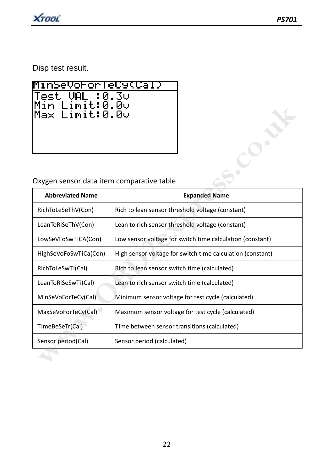Disp test result.

| MinSeVororTeCy(Cal)              |
|----------------------------------|
| $ Test$ VAL :0.3 $\circ$         |
| Min Limit:0.00<br>Max Limit:0.00 |
|                                  |
|                                  |
|                                  |

## Oxygen sensor data item comparative table

| Min Limit:0.0v<br>Max Limit:0.0v          |                                                            |
|-------------------------------------------|------------------------------------------------------------|
| Oxygen sensor data item comparative table |                                                            |
| <b>Abbreviated Name</b>                   | <b>Expanded Name</b>                                       |
| RichToLeSeThV(Con)                        | Rich to lean sensor threshold voltage (constant)           |
| LeanToRiSeThV(Con)                        | Lean to rich sensor threshold voltage (constant)           |
| LowSeVFoSwTiCA(Con)                       | Low sensor voltage for switch time calculation (constant)  |
| HighSeVoFoSwTiCa(Con)                     | High sensor voltage for switch time calculation (constant) |
| RichToLeSwTi(Cal)                         | Rich to lean sensor switch time (calculated)               |
| LeanToRiSeSwTi(Cal)                       | Lean to rich sensor switch time (calculated)               |
| MinSeVoForTeCy(Cal)                       | Minimum sensor voltage for test cycle (calculated)         |
| MaxSeVoForTeCy(Cal)                       | Maximum sensor voltage for test cycle (calculated)         |
| TimeBeSeTr(Cal)                           | Time between sensor transitions (calculated)               |
| Sensor period(Cal)                        | Sensor period (calculated)                                 |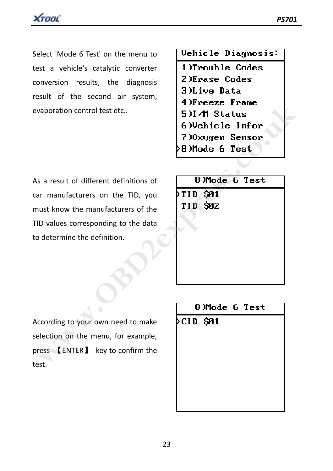Select 'Mode 6 Test' on the menu to test a vehicle's catalytic converter conversion results, the diagnosis result of the second air system, evaporation control test etc..

Vehicle Diagnosis:

1)Trouble Codes 2) Erase Codes

- 
- 3)Live Data
- 
- 
- 
- 
- 

| vaporation control test etc                                          | 4 Jrreeze rrame<br>5)I∧M Status<br>6)Vehicle Infor<br>7)Oxygen Sensor<br>>8)Mode 6 Test |
|----------------------------------------------------------------------|-----------------------------------------------------------------------------------------|
| s a result of different definitions of                               | 8)Mode 6 Test                                                                           |
| ar manufacturers on the TID, you                                     | >TID \$01                                                                               |
| ust know the manufacturers of the                                    | TID \$02                                                                                |
| D values corresponding to the data                                   |                                                                                         |
| determine the definition.                                            |                                                                                         |
|                                                                      | 8)Mode 6 Test                                                                           |
|                                                                      | >CID \$01                                                                               |
| ccording to your own need to make                                    |                                                                                         |
| election on the menu, for example,                                   |                                                                                         |
| $res$ $\blacksquare$ ENTER $\blacksquare$ key to confirm the<br>.st. |                                                                                         |

According to your own need to make selection on the menu, for example, press 【ENTER】 key to confirm the test.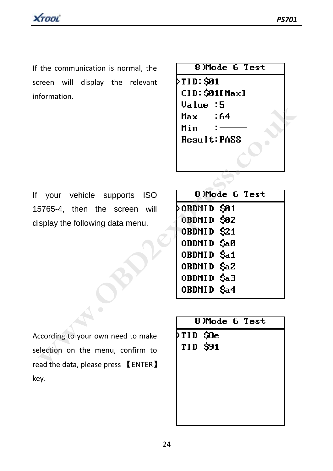If the communication is normal, the screen will display the relevant information.

| 8)Mode 6 Test  |
|----------------|
| MTID: \$91     |
| CID: \$01[Max] |
| Value :5       |
| - 64<br>Max    |
| Min            |
| Result:PASS    |
|                |
|                |
|                |

If your vehicle supports ISO 15765-4, then the screen will display the following data menu.

|                                        | Value :5<br>:64<br>Max<br>Min<br>Result:PASS |
|----------------------------------------|----------------------------------------------|
|                                        |                                              |
| your vehicle supports ISO              | 8)Mode 6 Test                                |
| 5765-4, then the screen will           | >OBDMID S01                                  |
| isplay the following data menu.        | OBDMID \$02                                  |
|                                        | OBDMID \$21                                  |
|                                        | OBDMID \$a0                                  |
|                                        | OBDMID \$a1                                  |
|                                        | OBDMID \$a2                                  |
|                                        | OBDMID \$a3                                  |
|                                        | OBDMID \$a4                                  |
|                                        | 8)Mode 6 Test                                |
|                                        |                                              |
| ccording to your own need to make      | >TID \$8e                                    |
| election on the menu, confirm to       | TID \$91                                     |
| ad the data, please press $\;$ [ENTER] |                                              |

According to your own need to make selection on the menu, confirm to read the data, please press 【ENTER】 key.

|                   | 8)Mode 6 Test |  |
|-------------------|---------------|--|
| $\sqrt{71D}$ \$8e |               |  |
| TID \$91          |               |  |
|                   |               |  |
|                   |               |  |
|                   |               |  |
|                   |               |  |
|                   |               |  |
|                   |               |  |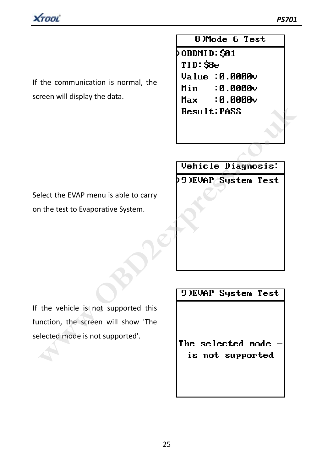

If the communication is normal, the screen will display the data.

8)Mode 6 Test  $\delta$ OBDMID: SØ1  $TID:SBe$  $Value:0.0000v$ Min  $0.0000 \times$ 

Select the EVAP menu is able to carry on the test to Evaporative System.



If the vehicle is not supported this function, the screen will show 'The selected mode is not supported'.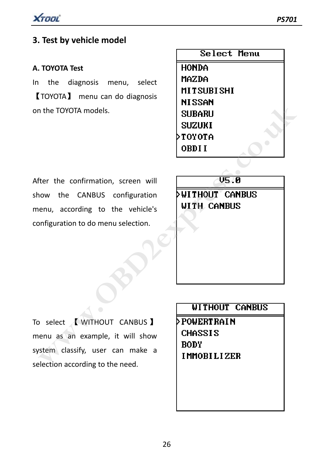

### **A. TOYOTA Test**

In the diagnosis menu, select 【TOYOTA】 menu can do diagnosis on the TOYOTA models.

|               | Select Menu |  |
|---------------|-------------|--|
| HONDA         |             |  |
| MAZDA         |             |  |
|               | MITSUBISHI  |  |
| <b>NISSAN</b> |             |  |
| SUBARU        |             |  |
| SUZUKI        |             |  |
| TOYOTA        |             |  |
| OBDI I        |             |  |
|               |             |  |

After the confirmation, screen will show the CANBUS configuration menu, according to the vehicle's configuration to do menu selection.

To select <u>A</u> WITHOUT CANBUS 1 menu as an example, it will show system classify, user can make a selection according to the need. **WEBARU<br>
SUBARU<br>
SUBARU<br>
SUZUKI<br>
TOYOTA OBDII<br>
THE THE CONTENTION SCREEN SUBARU<br>
TOYOTA OBDII<br>
THE CANBUS CONTENT OF CONTENT CANBUS<br>
Differential of the metal of the need.<br>
PROWERT RAIN<br>
PROWERT RAIN<br>
THE CANBUS<br>
THE CANBU**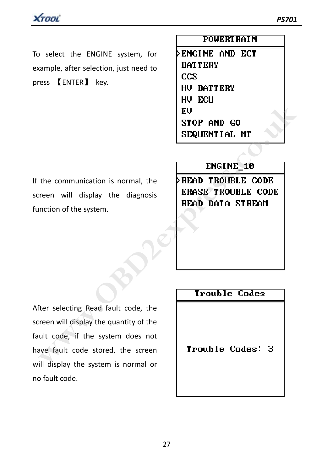To select the ENGINE system, for example, after selection, just need to press 【ENTER】 key.

### **POWERT RAIN**

**DENGINE AND ECT BATTERY**  $ccs$ HU BATTERY

If the communication is normal, the screen will display the diagnosis function of the system.

After selecting Read fault code, the screen will display the quantity of the fault code, if the system does not have fault code stored, the screen will display the system is normal or no fault code. **ENCALL THE 18**<br> **ENCALL THE SEQUENTIAL MT**<br>
THE COMMUNIST CONSIDER TO BE CODE<br>
THE WAS SEQUENTIAL MT<br>
TROUBLE CODE<br>
TROUBLE CODE<br>
INCALL CODE<br> **ENGALL TROUBLE CODE<br>
READ DATA STREAM**<br>
TROUBLE CODE<br> **ENGALL TROUBLE CODE**<br>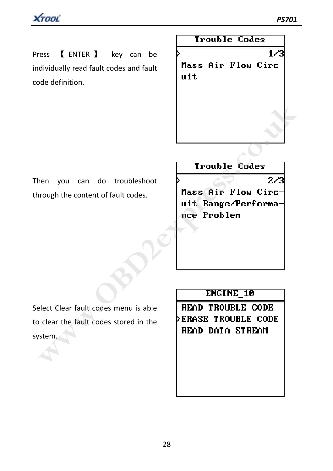Press 【 ENTER 】 key can be individually read fault codes and fault code definition.

Trouble Codes

 $1/3$ Mass Air Flow Circuit

Then you can do troubleshoot through the content of fault codes.

Select Clear fault codes menu is able to clear the fault codes stored in the system. **Example 19 From School of the Codes**<br>
IT COMPLE Codes<br>
Trough the content of fault codes.<br> **Mass Air Flow Circuit Range/Performa-**<br>
The Problem<br>
TROUBLE CODE<br>
Let Clear fault codes stored in the<br>
Decar the fault codes sto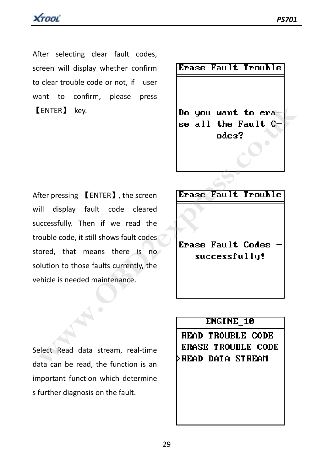

After selecting clear fault codes, screen will display whether confirm to clear trouble code or not, if user want to confirm, please press 【ENTER】 key.

Erase Fault Trouble

After pressing 【ENTER】, the screen will display fault code cleared successfully. Then if we read the trouble code, it still shows fault codes stored, that means there is no solution to those faults currently, the vehicle is needed maintenance. ENTER] key.<br> **Solution the Fault C-**<br>
See all the Fault C-<br>
odes?<br>
We all the Fault C-<br>
odes?<br>
We all the Fault Co-<br>
odes?<br>
We all the Fault Codes<br>
III display fault code cleared<br>
consectively, the read the<br>
code, that mea

Select Read data stream, real-time data can be read, the function is an important function which determine s further diagnosis on the fault.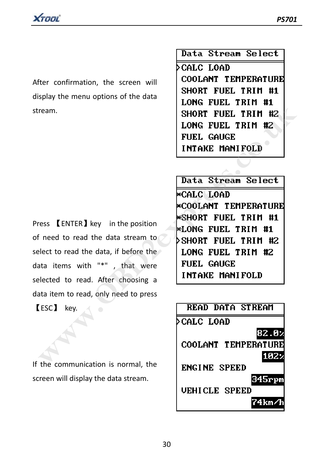After confirmation, the screen will display the menu options of the data stream.

Press **[ENTER]** key in the position of need to read the data stream to select to read the data, if before the data items with "\*" , that were selected to read. After choosing a data item to read, only need to press

【ESC】 key.

If the communication is normal, the screen will display the data stream.

Data Stream Select

⊳CALC LOAD COOLANT TEMPERATURE SHORT FUEL TRIM #1

FRIM HISTORIC LOAD<br>
WHORT FUEL TRIM HISTORIC FUEL TRIM HISTORIC FUEL TRIM HISTORIC FUEL TRIM HISTORIC FUEL TRIM HISTORIC FUEL GAUGE<br>
INTAKE MANIFOLD<br>
WE CALC LOAD<br>
WE COLANT TEMPERATURE<br>
FRIM HISTORIC FUEL TRIM HISTORIC FU

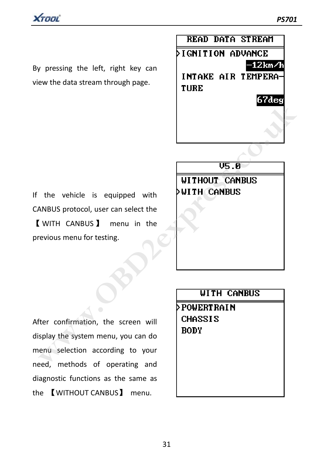

By pressing the left, right key can view the data stream through page.



If the vehicle is equipped with CANBUS protocol, user can select the 【 WITH CANBUS】 menu in the previous menu for testing.

After confirmation, the screen will display the system menu, you can do menu selection according to your need, methods of operating and diagnostic functions as the same as the 【WITHOUT CANBUS】 menu. **with**<br>
the vehicle is equipped with<br> **WITH CANBUS**<br> **WITH CANBUS**<br> **WITH CANBUS**<br> **WITH CANBUS**<br> **WITH CANBUS**<br> **WITH CANBUS**<br> **WITH CANBUS**<br> **WITH CANBUS**<br> **WITH CANBUS**<br> **WITH CANBUS**<br> **WITH CANBUS**<br> **POWERT RAIN**<br> **CHA**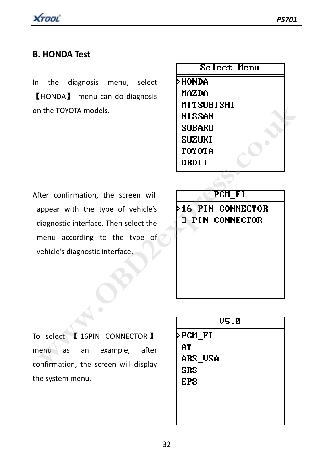### **B. HONDA Test**

In the diagnosis menu, select 【HONDA】 menu can do diagnosis on the TOYOTA models.

| Select Menu |  |
|-------------|--|
| HONDA       |  |
| MAZDA       |  |
| MITSUBISHI  |  |
| NI SSAN     |  |
| Subaru      |  |
| SUZUKI      |  |
| TOYOTA      |  |
| OBDI I      |  |
|             |  |

After confirmation, the screen will appear with the type of vehicle's diagnostic interface. Then select the menu according to the type of vehicle's diagnostic interface.

| n the TOYOTA models.                  | MITSUBISHI<br><b>NISSAN</b><br><b>SUBARU</b><br><b>SUZUKI</b><br>TOYOTA<br>OBDI I |
|---------------------------------------|-----------------------------------------------------------------------------------|
| fter confirmation, the screen will    | PGM_FI                                                                            |
| appear with the type of vehicle's     | <b>&gt;16 PIN CONNECTOR</b>                                                       |
| diagnostic interface. Then select the | <b>3 PIN CONNECTOR</b>                                                            |
| menu according to the type of         |                                                                                   |
| vehicle's diagnostic interface.       |                                                                                   |
|                                       |                                                                                   |
|                                       | V5.0                                                                              |
| select [16PIN CONNECTOR ]             | >PGM_FI                                                                           |
| example,<br>after<br>enu.<br>as<br>an | ΑT                                                                                |
| onfirmation, the screen will display  | abs_usa                                                                           |

To select 【 16PIN CONNECTOR 】 menu as an example, after confirmation, the screen will display the system menu.

| <b>V5.0</b> |  |
|-------------|--|
| ≻PGM_FI     |  |
| AT          |  |
| abs_usa     |  |
| SRS         |  |
| EPS         |  |
|             |  |
|             |  |
|             |  |
|             |  |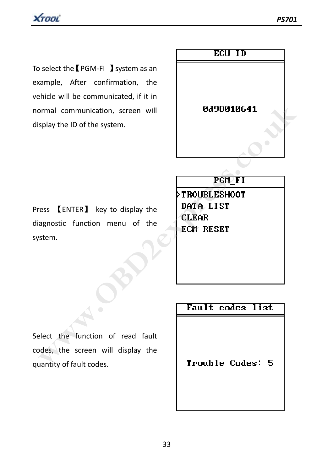To select the【PGM‐FI 】system as an example, After confirmation, the vehicle will be communicated, if it in normal communication, screen will display the ID of the system.



Press 【ENTER】 key to display the diagnostic function menu of the system.

Select the function of read fault codes, the screen will display the quantity of fault codes.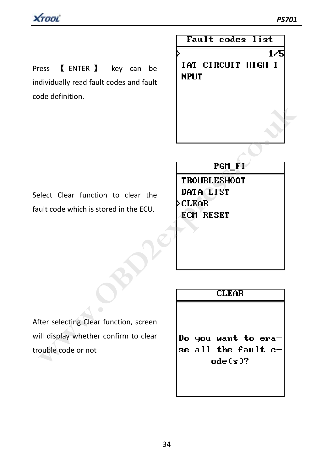Press **[ENTER ]** key can be individually read fault codes and fault code definition.

Fault codes list  $1/5$ IAT CIRCUIT HIGH I-**NPUT** 

Select Clear function to clear the fault code which is stored in the ECU.

After selecting Clear function, screen will display whether confirm to clear trouble code or not **PGH\_FT**<br>
PEH\_FT<br>
elect Clear function to clear the<br>
ult code which is stored in the ECU.<br>
CLEAR<br> **ECH RESET**<br>
ECH RESET<br>
ECH RESET<br>
ECH RESET<br>
ECH RESET<br>
ECH RESET<br>
ECH RESET<br>
Do you want to era-<br>
ill display whether conf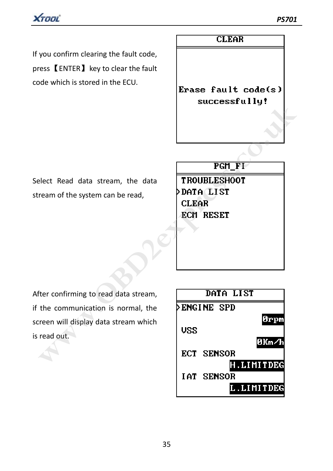

If you confirm clearing the fault code, press【ENTER】key to clear the fault code which is stored in the ECU.

## **CLEAR**

Erase fault code(s)

Select Read data stream, the data stream of the system can be read,

After confirming to read data stream, if the communication is normal, the screen will display data stream which is read out.

|                                                  | successiaig:                         |
|--------------------------------------------------|--------------------------------------|
|                                                  |                                      |
|                                                  | PGM_FI                               |
| elect Read data stream, the data                 | <b>TROUBLESHOOT</b>                  |
| ream of the system can be read,                  | <b>&gt;DATA LIST</b><br><b>CLEAR</b> |
|                                                  | ECM RESET                            |
|                                                  |                                      |
| fter confirming to read data stream,             | DATA LIST                            |
| the communication is normal, the                 | <b>ENGINE SPD</b>                    |
| reen will display data stream which<br>read out. | 0rpm<br><b>USS</b><br>0Km∕h          |
|                                                  | ECT SENSOR                           |
|                                                  | .LIMITDEG<br>IAT SENSOR              |
|                                                  | L.LIMITDEG                           |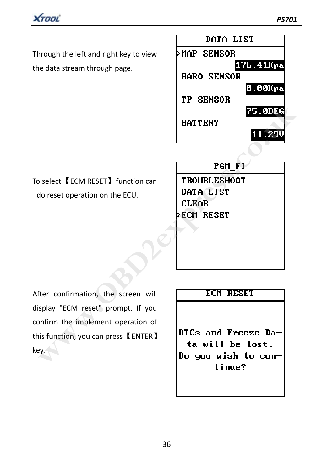

Through the left and right key to view the data stream through page.



To select【ECM RESET】function can do reset operation on the ECU.

After confirmation, the screen will display "ECM reset" prompt. If you confirm the implement operation of this function, you can press【ENTER】 key. **EXAMPLE PROPERT SCHOOLS BATTERY**<br>
Select [ECM RESET] function can<br>
do reset operation on the ECU.<br> **DATA LIST**<br>
CLEAR<br>
PECH RESET<br>
PECH RESET<br>
PECH RESET<br>
PECH RESET<br>
SECH RESET<br>
SCHOOLS AND THE SET<br>
SECH RESET<br>
SCHOOLS A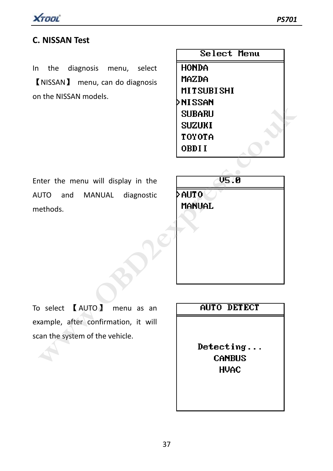

## **C. NISSAN Test**

In the diagnosis menu, select 【NISSAN】 menu, can do diagnosis on the NISSAN models.

|                                     | Select Menu                |
|-------------------------------------|----------------------------|
| the diagnosis<br>menu, select       | <b>HONDA</b>               |
| [NISSAN] menu, can do diagnosis     | MAZDA                      |
| n the NISSAN models.                | <b>MITSUBISHI</b>          |
|                                     | ≻NISSAN                    |
|                                     | <b>SUBARU</b>              |
|                                     | <b>SUZUKI</b>              |
|                                     | TOYOTA                     |
|                                     | OBDII                      |
|                                     |                            |
| nter the menu will display in the   | V5.0                       |
| UTO<br>and<br>MANUAL<br>diagnostic  | AUTO                       |
| ethods.                             | Mañual                     |
|                                     |                            |
|                                     |                            |
|                                     |                            |
| select <b>[AUTO</b> ]<br>menu as an | <b>AUTO DETECT</b>         |
| cample, after confirmation, it will |                            |
| an the system of the vehicle.       |                            |
|                                     | Detecting<br><b>CANBUS</b> |

Enter the menu will display in the AUTO and MANUAL diagnostic methods.



To select 【AUTO】 menu as an example, after confirmation, it will scan the system of the vehicle.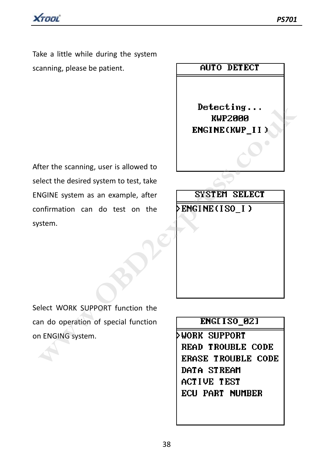XTOOL

Take a little while during the system scanning, please be patient.

After the scanning, user is allowed to select the desired system to test, take ENGINE system as an example, after confirmation can do test on the system. Detecting...<br> **WAP2000**<br>
ENGINE (KWP\_II)<br>
ENGINE WAPER CHAPTION<br>
Delect the desired system to test, take<br>
NGINE system as an example, after<br>
DENGINE (ISO\_I)<br>
Stem.<br>
ENGINE System.<br>
PENGINE System.<br>
PENGINE System.<br>
PENGINE

# AUTO DETECT

Select WORK SUPPORT function the can do operation of special function on ENGING system.

ACTIVE TEST **ECU PART NUMBER**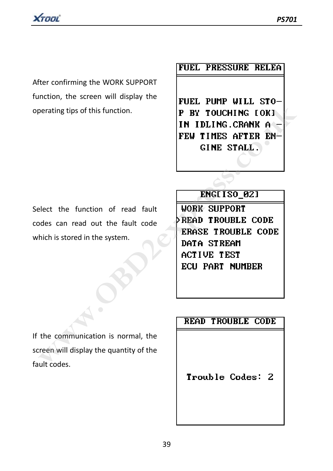

After confirming the WORK SUPPORT function, the screen will display the operating tips of this function.

## **FUEL PRESSURE RELEA**

Select the function of read fault codes can read out the fault code which is stored in the system.

**EXECUTE AND TOUCH INC CONTRACTS ON THE STATER ENTIRES AFTER ENTIRES AFTER ENTIRES AFTER ENTIRES AFTER ENTIRES AFTER ENTIRES AFTER ENTIRES AFTER ENTIRES AFTER ENTIRES AFTER ENTIRES AFTER ACTIVE TOOLS (THE STATE ACTIVE TO D** 

If the communication is normal, the screen will display the quantity of the fault codes.

Trouble Codes: 2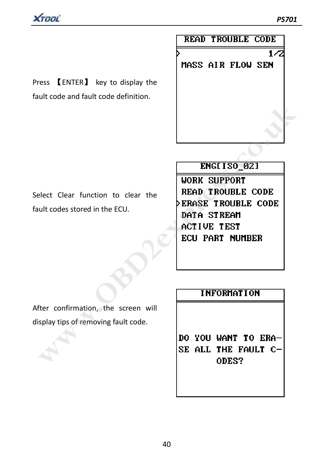$1/2$ 



Press 【ENTER】 key to display the fault code and fault code definition.

# **READ TROUBLE CODE**

MASS AIR FLOW SEN

**ENGIT SO\_021**<br>
elect Clear function to clear the<br>
ult codes stored in the ECU.<br> **WORK SUPPORT<br>
PERGE TROUBLE CODE<br>
DERGE TROUBLE CODE<br>
DETIVE TEST<br>
ECU PART NUMBER<br>
ECU PART NUMBER<br>
ECU PART NUMBER<br>
ECU PART NUMBER<br>
ECU P** 

Select Clear function to clear the fault codes stored in the ECU.

After confirmation, the screen will display tips of removing fault code.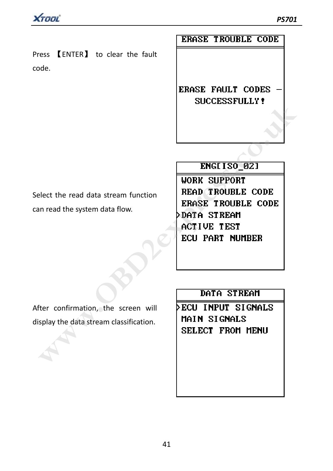Press 【ENTER】 to clear the fault code.

**ERASE TROUBLE CODE** 

**ERASE FAULT CODES** 

**ENGET ISO\_021**<br>
WORK SUPPORT<br>
INCET ISO\_021<br>
WORK SUPPORT<br>
INCET UP TROUBLE CODE<br>
INCENSE TROUBLE CODE<br>
DATA STREAM<br>
ACTIVE TEST<br>
ECU PART NUMBER<br>
For confirmation, the screen will<br>
Splay the data stream classification.<br>

Select the read data stream function

can read the system data flow.

After confirmation, the screen will display the data stream classification.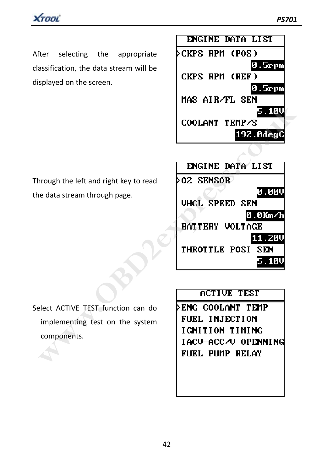

After selecting the appropriate classification, the data stream will be displayed on the screen.

Through the left and right key to read the data stream through page.



|                                                                      | 5.10V<br>COOLANT TEMP/S<br>192.0degC                                                                                                |
|----------------------------------------------------------------------|-------------------------------------------------------------------------------------------------------------------------------------|
|                                                                      | ENGINE DATA LIST                                                                                                                    |
| nrough the left and right key to read<br>e data stream through page. | >02 SENSOR<br>0.00V<br><b>UHCL SPEED SEN</b><br>0.0Km/h<br><b>BATTERY VOLTAGE</b><br>11.20V<br><b>THROTTLE POSI</b><br>SEN<br>5.10V |
|                                                                      | <b>ACTIVE TEST</b>                                                                                                                  |
| elect ACTIVE TEST function can do                                    | ▷ENG COOLANT TEMP                                                                                                                   |
| implementing test on the system                                      | FUEL INJECTION                                                                                                                      |
| components.                                                          | IGNITION TIMING                                                                                                                     |
|                                                                      | IACU-ACC/U OPENNING<br>FUEL PUMP RELAY                                                                                              |

Select ACTIVE TEST function can do implementing test on the system components.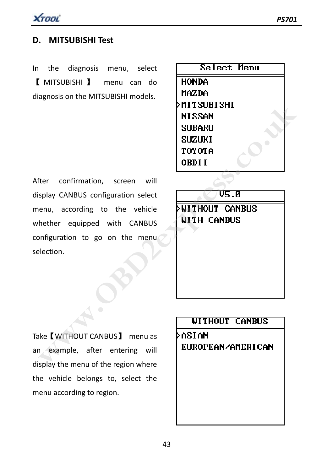

### **D. MITSUBISHI Test**

In the diagnosis menu, select 【 MITSUBISHI 】 menu can do diagnosis on the MITSUBISHI models.

Select Menu **HONDA** MAZDA

After confirmation, screen will display CANBUS configuration select menu, according to the vehicle whether equipped with CANBUS configuration to go on the menu selection. MITSUBISHI<br>
MISSAN<br>
SUBARU<br>
SUBARU<br>
SUBARU<br>
SUBARU<br>
SUBARU<br>
SUBARU<br>
SUBARU<br>
SUBARU<br>
SUBARU<br>
SUBARU<br>
SUBARU<br>
OBDII<br>
OBDII<br>
OBDII<br>
OBDII<br>
OBDII<br>
OBDII<br>
OBDII<br>
OBDII<br>
OBDII<br>
OBDII<br>
OBDII<br>
OBDII<br>
OBDII<br>
OBDII<br>
OBDII<br>
OBDII<br>
OB

Take【WITHOUT CANBUS】 menu as an example, after entering will display the menu of the region where the vehicle belongs to, select the menu according to region.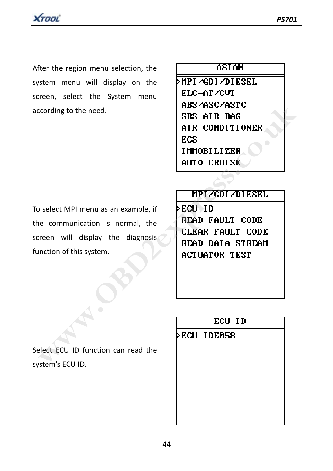After the region menu selection, the system menu will display on the screen, select the System menu according to the need.

## **ASIAN**

MPI/GDI/DIESEL ELC-AT/CUT

To select MPI menu as an example, if the communication is normal, the screen will display the diagnosis function of this system. EXAMPLE THE SAST CONDITIONER<br>
SAST AIR CONDITIONER<br>
ECS<br>
MITO CRUISE<br>
Select MPI menu as an example, if<br>
where communication is normal, the<br>
reen will display the diagnosis<br>
THE COLUID<br>
ECUID<br>
MEGALE FOULT CODE<br>
READ DATA

system's ECU ID.

Select ECU ID function can read the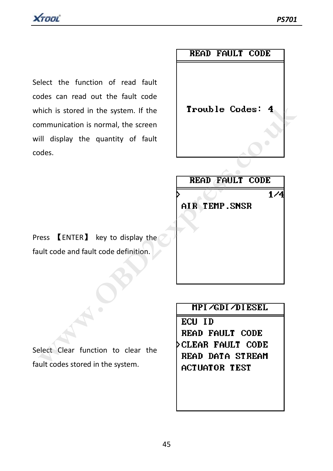

Select the function of read fault codes can read out the fault code which is stored in the system. If the communication is normal, the screen will display the quantity of fault codes.

### **READ FAILT CODE**

Frouble Codes: 4<br>
mmunication is normal, the screen<br>
ill display the quantity of fault<br>
ddes.<br> **READ FAULT CODE**<br> **READ FAULT CODE**<br> **READ FAULT CODE**<br> **READ FAULT CODE**<br> **READ FAULT CODE**<br> **READ FAULT CODE**<br> **READ FAULT C** 

Press 【ENTER】 key to display the fault code and fault code definition.

Select Clear function to clear the fault codes stored in the system.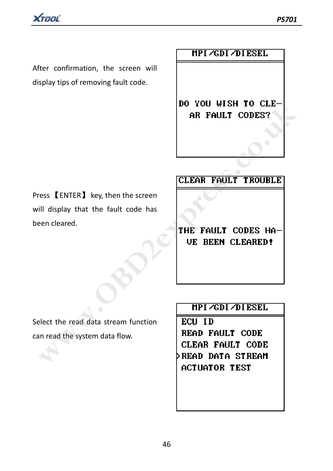After confirmation, the screen will display tips of removing fault code.

XTOOL

### MPI /GDI /DI ESEL

Press 【ENTER】 key, then the screen will display that the fault code has been cleared. **PO YOU WISH TO CLEMBER POLLY CODES?**<br>
THE FAULT CODES<br>
III display that the fault code has<br>
een cleared.<br> **EXPRESS (ENTER)** key, then the screen<br> **CLEAR FAULT CODES HA-**<br> **DE BEEN CLEARED!**<br> **PIPI/GDI/DIESEL**<br>
PIPE/GDI/DI

Select the read data stream function can read the system data flow.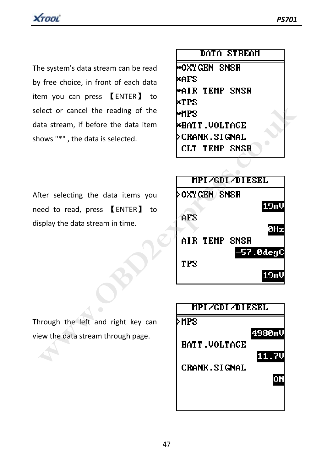

The system's data stream can be read by free choice, in front of each data item you can press 【ENTER】 to select or cancel the reading of the data stream, if before the data item shows "\*" , the data is selected.

| DATA STREAM |
|-------------|
|-------------|

\*OXYGEN SNSR ⊭AFS \*AIR TEMP SNSR

After selecting the data items you need to read, press 【ENTER】 to display the data stream in time.

| elect or cancel the reading of the      | ⊭ւթ                  |
|-----------------------------------------|----------------------|
|                                         | *MPS                 |
| ata stream, if before the data item     | *BATT.VOLTAGE        |
| nows "*", the data is selected.         | ≻CRANK.SIGNAL        |
|                                         | CLT TEMP SNSR        |
|                                         | MPI /GDI /DI ESEL    |
|                                         |                      |
| fter selecting the data items you       | ⊳oxygen) snsr        |
| eed to read, press <b>[ENTER]</b><br>to | 19mV                 |
| splay the data stream in time.          | AFS                  |
|                                         | 0Hz                  |
|                                         | AIR TEMP SNSR        |
|                                         | 57.0degC             |
|                                         | <b>TPS</b>           |
|                                         | 19ml                 |
|                                         |                      |
|                                         |                      |
|                                         | MPI /GDI /DI ESEL    |
| prough the left and right key can       | ≻MPS                 |
| ew the data stream through page.        | 4980mV               |
|                                         | <b>BATT. VOLTAGE</b> |
|                                         |                      |
|                                         |                      |

Through the left and right key can view the data stream through page.

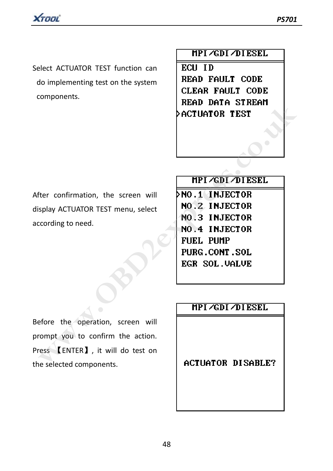

Select ACTUATOR TEST function can do implementing test on the system components.

MPI /GDI /DI ESEL

ECH ID **READ FAULT CODE CLEAR FAULT CODE** 

After confirmation, the screen will display ACTUATOR TEST menu, select according to need.

**EXEMPLE DRIFT STREAM**<br>
FREAD DRIFT STREAM<br>
SACTUATOR TEST<br>
SPAY ACTUATOR TEST menu, select<br>
NO. 2 INJECTOR<br>
NO. 3 INJECTOR<br>
NO. 4 INJECTOR<br>
NO. 4 INJECTOR<br>
PUBE. CONT. SOL<br>
PUBE. CONT. SOL<br>
EGR SOL. UALUE<br>
PUBE. CONT. SOL

Before the operation, screen will prompt you to confirm the action. Press 【ENTER】, it will do test on the selected components.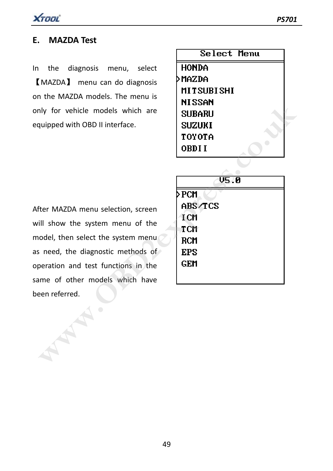

### **E. MAZDA Test**

In the diagnosis menu, select 【MAZDA】 menu can do diagnosis on the MAZDA models. The menu is only for vehicle models which are equipped with OBD II interface.

| Select Menu   |  |
|---------------|--|
| HONDA         |  |
| <b>MAZDA</b>  |  |
| MITSUBISHI    |  |
| <b>NISSAN</b> |  |
| SUBARU        |  |
| SUZURI        |  |
| TOYOTA        |  |
| OBDI I        |  |
|               |  |

After MAZDA menu selection, screen will show the system menu of the model, then select the system menu as need, the diagnostic methods of operation and test functions in the same of other models which have been referred.

| nly for vehicle models which are<br>quipped with OBD II interface.                                                                                                                                                                      | птоэни<br><b>SUBARU</b><br><b>SUZUKI</b><br>TOYOTA<br>OBDI I |
|-----------------------------------------------------------------------------------------------------------------------------------------------------------------------------------------------------------------------------------------|--------------------------------------------------------------|
| fter MAZDA menu selection, screen<br>ill show the system menu of the<br>odel, then select the system menu<br>s need, the diagnostic methods of<br>peration and test functions in the<br>ime of other models which have<br>een referred. | V5.0<br>≻PCM<br>ABS/TCS<br>I CM<br>TCM<br>RCM<br>EPS<br>GEM  |
|                                                                                                                                                                                                                                         |                                                              |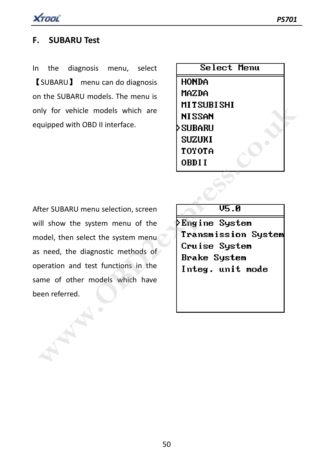

### **F. SUBARU Test**

In the diagnosis menu, select 【SUBARU】 menu can do diagnosis on the SUBARU models. The menu is only for vehicle models which are equipped with OBD II interface.

| Select Menu |
|-------------|
| HONDA       |
| MAZDA       |
| MITSUBISHI  |
| NI SSAN     |
| SUBARU      |
| SUZUKI      |
| TOYOTA      |
| OBDI I      |

After SUBARU menu selection, screen will show the system menu of the model, then select the system menu as need, the diagnostic methods of operation and test functions in the same of other models which have been referred. my for vehicle models which are<br> **WISSARU**<br> **WISSARU**<br>
SUBARU<br>
SUBARU menu selection, screen<br>
III show the system menu of the<br>
Transmission System<br>
andel, then select the system menu<br>
is need, the diagnostic methods of<br>
De